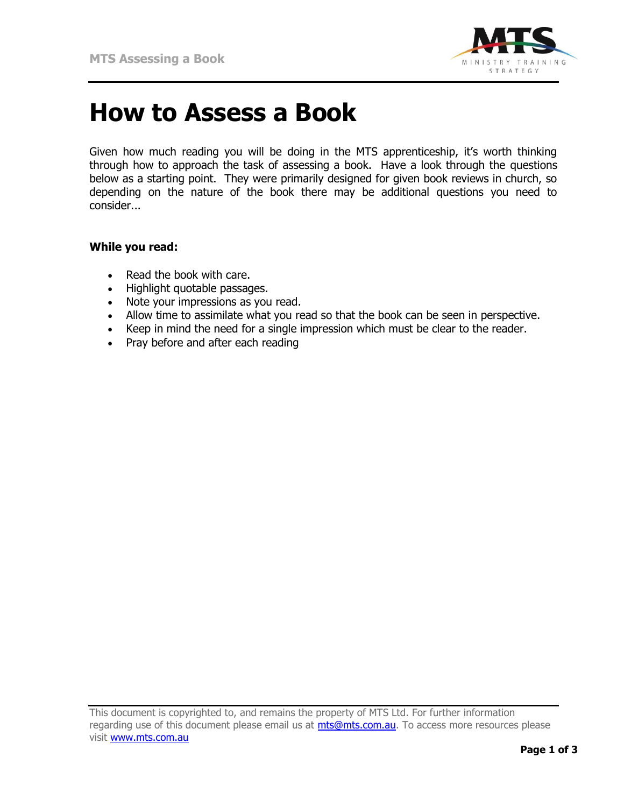

## **How to Assess a Book**

Given how much reading you will be doing in the MTS apprenticeship, it's worth thinking through how to approach the task of assessing a book. Have a look through the questions below as a starting point. They were primarily designed for given book reviews in church, so depending on the nature of the book there may be additional questions you need to consider...

## **While you read:**

- Read the book with care.
- Highlight quotable passages.
- Note your impressions as you read.
- Allow time to assimilate what you read so that the book can be seen in perspective.
- Keep in mind the need for a single impression which must be clear to the reader.
- Pray before and after each reading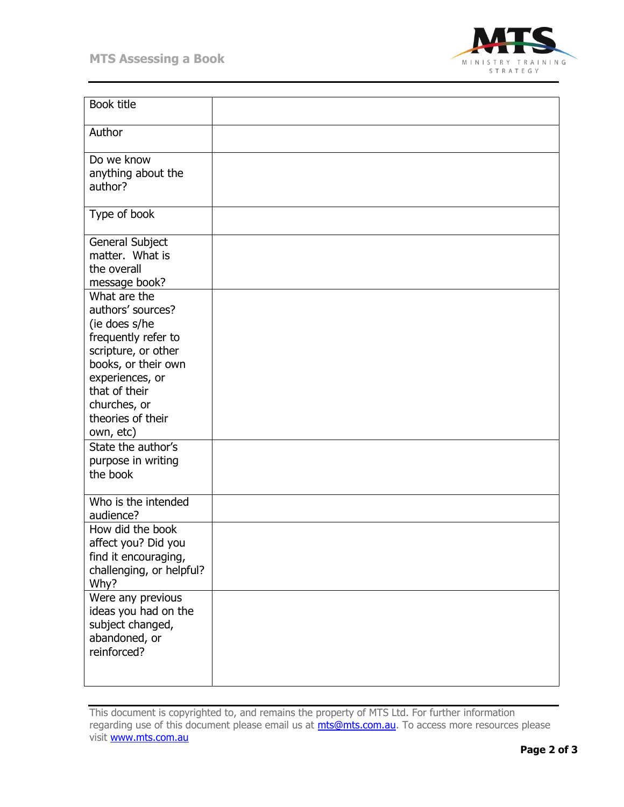

| <b>Book title</b>                                                                                                                                                                                             |  |
|---------------------------------------------------------------------------------------------------------------------------------------------------------------------------------------------------------------|--|
| Author                                                                                                                                                                                                        |  |
| Do we know<br>anything about the<br>author?                                                                                                                                                                   |  |
| Type of book                                                                                                                                                                                                  |  |
| General Subject<br>matter. What is<br>the overall<br>message book?                                                                                                                                            |  |
| What are the<br>authors' sources?<br>(ie does s/he<br>frequently refer to<br>scripture, or other<br>books, or their own<br>experiences, or<br>that of their<br>churches, or<br>theories of their<br>own, etc) |  |
| State the author's<br>purpose in writing<br>the book                                                                                                                                                          |  |
| Who is the intended<br>audience?                                                                                                                                                                              |  |
| How did the book<br>affect you? Did you<br>find it encouraging,<br>challenging, or helpful?<br>Why?                                                                                                           |  |
| Were any previous<br>ideas you had on the<br>subject changed,<br>abandoned, or<br>reinforced?                                                                                                                 |  |

This document is copyrighted to, and remains the property of MTS Ltd. For further information regarding use of this document please email us at *mts@mts.com.au*. To access more resources please visit www.mts.com.au